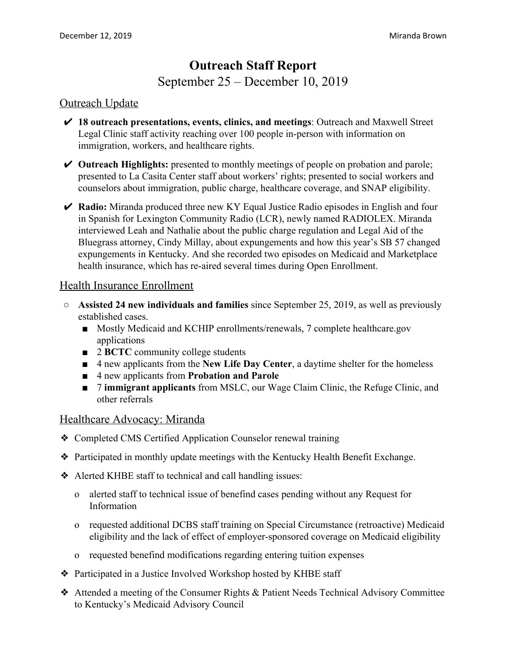# **Outreach Staff Report** September 25 – December 10, 2019

#### Outreach Update

- ✔ **18 outreach presentations, events, clinics, and meetings**: Outreach and Maxwell Street Legal Clinic staff activity reaching over 100 people in-person with information on immigration, workers, and healthcare rights.
- ✔ **Outreach Highlights:** presented to monthly meetings of people on probation and parole; presented to La Casita Center staff about workers' rights; presented to social workers and counselors about immigration, public charge, healthcare coverage, and SNAP eligibility.
- ✔ **Radio:** Miranda produced three new KY Equal Justice Radio episodes in English and four in Spanish for Lexington Community Radio (LCR), newly named RADIOLEX. Miranda interviewed Leah and Nathalie about the public charge regulation and Legal Aid of the Bluegrass attorney, Cindy Millay, about expungements and how this year's SB 57 changed expungements in Kentucky. And she recorded two episodes on Medicaid and Marketplace health insurance, which has re-aired several times during Open Enrollment.

#### Health Insurance Enrollment

- **Assisted 24 new individuals and families** since September 25, 2019, as well as previously established cases.
	- Mostly Medicaid and KCHIP enrollments/renewals, 7 complete healthcare.gov applications
	- 2 **BCTC** community college students
	- 4 new applicants from the **New Life Day Center**, a daytime shelter for the homeless
	- 4 new applicants from **Probation and Parole**
	- 7 **immigrant applicants** from MSLC, our Wage Claim Clinic, the Refuge Clinic, and other referrals

#### Healthcare Advocacy: Miranda

- ❖ Completed CMS Certified Application Counselor renewal training
- ❖ Participated in monthly update meetings with the Kentucky Health Benefit Exchange.
- ❖ Alerted KHBE staff to technical and call handling issues:
	- o alerted staff to technical issue of benefind cases pending without any Request for Information
	- o requested additional DCBS staff training on Special Circumstance (retroactive) Medicaid eligibility and the lack of effect of employer-sponsored coverage on Medicaid eligibility
	- o requested benefind modifications regarding entering tuition expenses
- ❖ Participated in a Justice Involved Workshop hosted by KHBE staff
- ❖ Attended a meeting of the Consumer Rights & Patient Needs Technical Advisory Committee to Kentucky's Medicaid Advisory Council